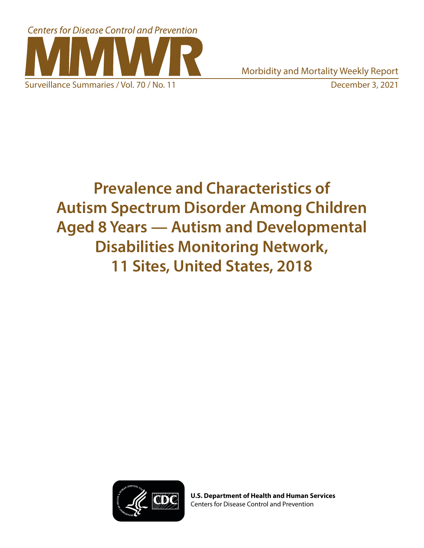

Morbidity and Mortality Weekly Report Surveillance Summaries / Vol. 70 / No. 11 **December 3, 2021** 

# **Prevalence and Characteristics of Autism Spectrum Disorder Among Children Aged 8 Years — Autism and Developmental Disabilities Monitoring Network, 11 Sites, United States, 2018**



**U.S. Department of Health and Human Services** Centers for Disease Control and Prevention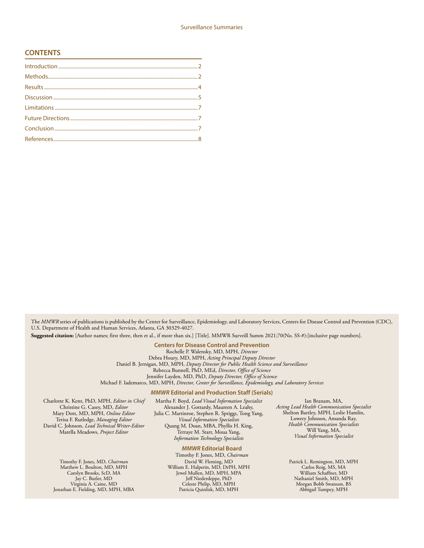#### **CONTENTS**

The *MMWR* series of publications is published by the Center for Surveillance, Epidemiology, and Laboratory Services, Centers for Disease Control and Prevention (CDC), U.S. Department of Health and Human Services, Atlanta, GA 30329-4027.

**Suggested citation:** [Author names; first three, then et al., if more than six.] [Title]. MMWR Surveill Summ 2021;70(No. SS-#):[inclusive page numbers].

**Centers for Disease Control and Prevention**

Rochelle P. Walensky, MD, MPH, *Director*

Debra Houry, MD, MPH, *Acting Principal Deputy Director* Daniel B. Jernigan, MD, MPH, *Deputy Director for Public Health Science and Surveillance* Rebecca Bunnell, PhD, MEd, *Director, Office of Science* Jennifer Layden, MD, PhD, *Deputy Director, Office of Science*

Michael F. Iademarco, MD, MPH, *Director, Center for Surveillance, Epidemiology, and Laboratory Services*

#### *MMWR* **Editorial and Production Staff (Serials)**

Charlotte K. Kent, PhD, MPH, *Editor in Chief* Christine G. Casey, MD, *Editor* Mary Dott, MD, MPH, *Online Editor* Terisa F. Rutledge, *Managing Editor* David C. Johnson, *Lead Technical Writer-Editor*

Martha F. Boyd, *Lead Visual Information Specialist* Alexander J. Gottardy, Maureen A. Leahy, Julia C. Martinroe, Stephen R. Spriggs, Tong Yang, *Visual Information Specialists* Quang M. Doan, MBA, Phyllis H. King, Terraye M. Starr, Moua Yang, *Information Technology Specialists*

#### *MMWR* **Editorial Board**

Timothy F. Jones, MD, *Chairman* David W. Fleming, MD William E. Halperin, MD, DrPH, MPH Jewel Mullen, MD, MPH, MPA Jeff Niederdeppe, PhD Celeste Philip, MD, MPH Patricia Quinlisk, MD, MPH

Ian Branam, MA, *Acting Lead Health Communication Specialist* Shelton Bartley, MPH, Leslie Hamlin, Lowery Johnson, Amanda Ray, *Health Communication Specialists* Will Yang, MA, *Visual Information Specialist*

> Patrick L. Remington, MD, MPH Carlos Roig, MS, MA William Schaffner, MD Nathaniel Smith, MD, MPH Morgan Bobb Swanson, BS Abbigail Tumpey, MPH

Marella Meadows, *Project Editor*

Timothy F. Jones, MD, *Chairman* Matthew L. Boulton, MD, MPH Carolyn Brooks, ScD, MA Jay C. Butler, MD Virginia A. Caine, MD Jonathan E. Fielding, MD, MPH, MBA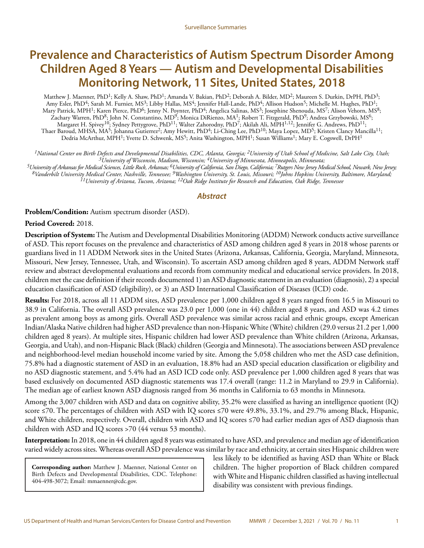## **Prevalence and Characteristics of Autism Spectrum Disorder Among Children Aged 8 Years — Autism and Developmental Disabilities Monitoring Network, 11 Sites, United States, 2018**

Matthew J. Maenner, PhD<sup>1</sup>; Kelly A. Shaw, PhD<sup>1</sup>; Amanda V. Bakian, PhD<sup>2</sup>; Deborah A. Bilder, MD<sup>2</sup>; Maureen S. Durkin, DrPH, PhD<sup>3</sup>; Amy Esler, PhD<sup>4</sup>; Sarah M. Furnier, MS<sup>3</sup>; Libby Hallas, MS<sup>4</sup>; Jennifer Hall-Lande, PhD<sup>4</sup>; Allison Hudson<sup>5</sup>; Michelle M. Hughes, PhD<sup>1</sup>; Mary Patrick, MPH<sup>1</sup>; Karen Pierce, PhD<sup>6</sup>; Jenny N. Poynter, PhD<sup>4</sup>; Angelica Salinas, MS<sup>3</sup>; Josephine Shenouda, MS<sup>7</sup>; Alison Vehorn, MS<sup>8</sup>; Zachary Warren, PhD<sup>8</sup>; John N. Constantino, MD<sup>9</sup>; Monica DiRienzo, MA<sup>1</sup>; Robert T. Fitzgerald, PhD<sup>9</sup>; Andrea Grzybowski, MS<sup>6</sup>; Margaret H. Spivey10; Sydney Pettygrove, PhD11; Walter Zahorodny, PhD7; Akilah Ali, MPH1,12; Jennifer G. Andrews, PhD11; Thaer Baroud, MHSA, MA<sup>5</sup>; Johanna Gutierrez<sup>2</sup>; Amy Hewitt, PhD<sup>4</sup>; Li-Ching Lee, PhD<sup>10</sup>; Maya Lopez, MD<sup>5</sup>; Kristen Clancy Mancilla<sup>11</sup>; Dedria McArthur, MPH<sup>1</sup>; Yvette D. Schwenk, MS<sup>5</sup>; Anita Washington, MPH<sup>1</sup>; Susan Williams<sup>1</sup>; Mary E. Cogswell, DrPH<sup>1</sup>

*1National Center on Birth Defects and Developmental Disabilities, CDC, Atlanta, Georgia; 2University of Utah School of Medicine, Salt Lake City, Utah; 3University of Wisconsin, Madison, Wisconsin; 4University of Minnesota, Minneapolis, Minnesota;* 

*5University of Arkansas for Medical Sciences, Little Rock, Arkansas; 6University of California, San Diego, California; 7Rutgers New Jersey Medical School, Newark, New Jersey; 8Vanderbilt University Medical Center, Nashville, Tennessee; 9Washington University, St. Louis, Missouri; 10Johns Hopkins University, Baltimore, Maryland; 11University of Arizona, Tucson, Arizona; 12Oak Ridge Institute for Research and Education, Oak Ridge, Tennessee*

#### *Abstract*

**Problem/Condition:** Autism spectrum disorder (ASD).

**Period Covered:** 2018.

**Description of System:** The Autism and Developmental Disabilities Monitoring (ADDM) Network conducts active surveillance of ASD. This report focuses on the prevalence and characteristics of ASD among children aged 8 years in 2018 whose parents or guardians lived in 11 ADDM Network sites in the United States (Arizona, Arkansas, California, Georgia, Maryland, Minnesota, Missouri, New Jersey, Tennessee, Utah, and Wisconsin). To ascertain ASD among children aged 8 years, ADDM Network staff review and abstract developmental evaluations and records from community medical and educational service providers. In 2018, children met the case definition if their records documented 1) an ASD diagnostic statement in an evaluation (diagnosis), 2) a special education classification of ASD (eligibility), or 3) an ASD International Classification of Diseases (ICD) code.

**Results:** For 2018, across all 11 ADDM sites, ASD prevalence per 1,000 children aged 8 years ranged from 16.5 in Missouri to 38.9 in California. The overall ASD prevalence was 23.0 per 1,000 (one in 44) children aged 8 years, and ASD was 4.2 times as prevalent among boys as among girls. Overall ASD prevalence was similar across racial and ethnic groups, except American Indian/Alaska Native children had higher ASD prevalence than non-Hispanic White (White) children (29.0 versus 21.2 per 1,000 children aged 8 years). At multiple sites, Hispanic children had lower ASD prevalence than White children (Arizona, Arkansas, Georgia, and Utah), and non-Hispanic Black (Black) children (Georgia and Minnesota). The associations between ASD prevalence and neighborhood-level median household income varied by site. Among the 5,058 children who met the ASD case definition, 75.8% had a diagnostic statement of ASD in an evaluation, 18.8% had an ASD special education classification or eligibility and no ASD diagnostic statement, and 5.4% had an ASD ICD code only. ASD prevalence per 1,000 children aged 8 years that was based exclusively on documented ASD diagnostic statements was 17.4 overall (range: 11.2 in Maryland to 29.9 in California). The median age of earliest known ASD diagnosis ranged from 36 months in California to 63 months in Minnesota.

Among the 3,007 children with ASD and data on cognitive ability, 35.2% were classified as having an intelligence quotient (IQ) score ≤70. The percentages of children with ASD with IQ scores ≤70 were 49.8%, 33.1%, and 29.7% among Black, Hispanic, and White children, respectively. Overall, children with ASD and IQ scores ≤70 had earlier median ages of ASD diagnosis than children with ASD and IQ scores >70 (44 versus 53 months).

**Interpretation:** In 2018, one in 44 children aged 8 years was estimated to have ASD, and prevalence and median age of identification varied widely across sites. Whereas overall ASD prevalence was similar by race and ethnicity, at certain sites Hispanic children were

**Corresponding author:** Matthew J. Maenner, National Center on Birth Defects and Developmental Disabilities, CDC. Telephone: 404-498-3072; Email: [mmaenner@cdc.gov.](mailto:mmaenner@cdc.gov)

less likely to be identified as having ASD than White or Black children. The higher proportion of Black children compared with White and Hispanic children classified as having intellectual disability was consistent with previous findings.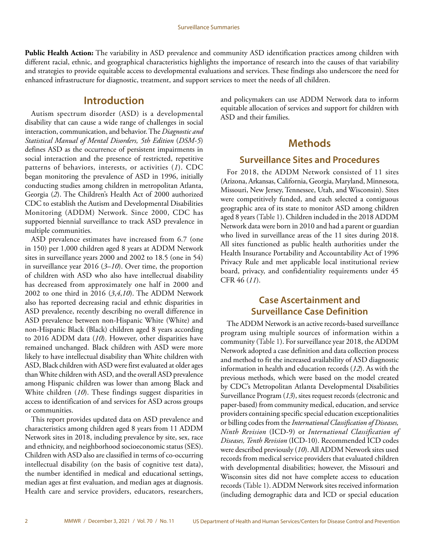<span id="page-3-0"></span>**Public Health Action:** The variability in ASD prevalence and community ASD identification practices among children with different racial, ethnic, and geographical characteristics highlights the importance of research into the causes of that variability and strategies to provide equitable access to developmental evaluations and services. These findings also underscore the need for enhanced infrastructure for diagnostic, treatment, and support services to meet the needs of all children.

### **Introduction**

Autism spectrum disorder (ASD) is a developmental disability that can cause a wide range of challenges in social interaction, communication, and behavior. The *Diagnostic and Statistical Manual of Mental Disorders, 5th Edition* (*DSM-5*) defines ASD as the occurrence of persistent impairments in social interaction and the presence of restricted, repetitive patterns of behaviors, interests, or activities (*1*). CDC began monitoring the prevalence of ASD in 1996, initially conducting studies among children in metropolitan Atlanta, Georgia (*2*). The Children's Health Act of 2000 authorized CDC to establish the Autism and Developmental Disabilities Monitoring (ADDM) Network. Since 2000, CDC has supported biennial surveillance to track ASD prevalence in multiple communities.

ASD prevalence estimates have increased from 6.7 (one in 150) per 1,000 children aged 8 years at ADDM Network sites in surveillance years 2000 and 2002 to 18.5 (one in 54) in surveillance year 2016 (*3*–*10*). Over time, the proportion of children with ASD who also have intellectual disability has decreased from approximately one half in 2000 and 2002 to one third in 2016 (*3*,*4*,*10*). The ADDM Network also has reported decreasing racial and ethnic disparities in ASD prevalence, recently describing no overall difference in ASD prevalence between non-Hispanic White (White) and non-Hispanic Black (Black) children aged 8 years according to 2016 ADDM data (*10*). However, other disparities have remained unchanged. Black children with ASD were more likely to have intellectual disability than White children with ASD, Black children with ASD were first evaluated at older ages than White children with ASD, and the overall ASD prevalence among Hispanic children was lower than among Black and White children (*10*). These findings suggest disparities in access to identification of and services for ASD across groups or communities.

This report provides updated data on ASD prevalence and characteristics among children aged 8 years from 11 ADDM Network sites in 2018, including prevalence by site, sex, race and ethnicity, and neighborhood socioeconomic status (SES). Children with ASD also are classified in terms of co-occurring intellectual disability (on the basis of cognitive test data), the number identified in medical and educational settings, median ages at first evaluation, and median ages at diagnosis. Health care and service providers, educators, researchers, and policymakers can use ADDM Network data to inform equitable allocation of services and support for children with ASD and their families.

### **Methods**

### **Surveillance Sites and Procedures**

For 2018, the ADDM Network consisted of 11 sites (Arizona, Arkansas, California, Georgia, Maryland, Minnesota, Missouri, New Jersey, Tennessee, Utah, and Wisconsin). Sites were competitively funded, and each selected a contiguous geographic area of its state to monitor ASD among children aged 8 years (Table 1). Children included in the 2018 ADDM Network data were born in 2010 and had a parent or guardian who lived in surveillance areas of the 11 sites during 2018. All sites functioned as public health authorities under the Health Insurance Portability and Accountability Act of 1996 Privacy Rule and met applicable local institutional review board, privacy, and confidentiality requirements under 45 CFR 46 (*11*).

### **Case Ascertainment and Surveillance Case Definition**

The ADDM Network is an active records-based surveillance program using multiple sources of information within a community (Table 1). For surveillance year 2018, the ADDM Network adopted a case definition and data collection process and method to fit the increased availability of ASD diagnostic information in health and education records (*12*). As with the previous methods, which were based on the model created by CDC's Metropolitan Atlanta Developmental Disabilities Surveillance Program (*13*), sites request records (electronic and paper-based) from community medical, education, and service providers containing specific special education exceptionalities or billing codes from the *International Classification of Diseases, Ninth Revision* (ICD-9) or *International Classification of Diseases, Tenth Revision* (ICD-10). Recommended ICD codes were described previously (*10*). All ADDM Network sites used records from medical service providers that evaluated children with developmental disabilities; however, the Missouri and Wisconsin sites did not have complete access to education records (Table 1). ADDM Network sites received information (including demographic data and ICD or special education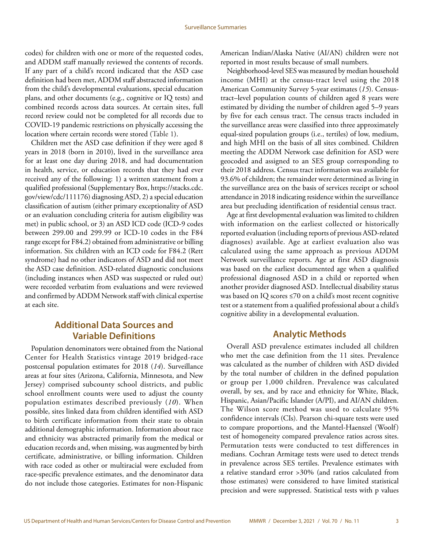codes) for children with one or more of the requested codes, and ADDM staff manually reviewed the contents of records. If any part of a child's record indicated that the ASD case definition had been met, ADDM staff abstracted information from the child's developmental evaluations, special education plans, and other documents (e.g., cognitive or IQ tests) and combined records across data sources. At certain sites, full record review could not be completed for all records due to COVID-19 pandemic restrictions on physically accessing the location where certain records were stored (Table 1).

Children met the ASD case definition if they were aged 8 years in 2018 (born in 2010), lived in the surveillance area for at least one day during 2018, and had documentation in health, service, or education records that they had ever received any of the following: 1) a written statement from a qualified professional (Supplementary Box, [https://stacks.cdc.](https://stacks.cdc.gov/view/cdc/111176) [gov/view/cdc/111176](https://stacks.cdc.gov/view/cdc/111176)) diagnosing ASD, 2) a special education classification of autism (either primary exceptionality of ASD or an evaluation concluding criteria for autism eligibility was met) in public school, or 3) an ASD ICD code (ICD-9 codes between 299.00 and 299.99 or ICD-10 codes in the F84 range except for F84.2) obtained from administrative or billing information. Six children with an ICD code for F84.2 (Rett syndrome) had no other indicators of ASD and did not meet the ASD case definition. ASD-related diagnostic conclusions (including instances when ASD was suspected or ruled out) were recorded verbatim from evaluations and were reviewed and confirmed by ADDM Network staff with clinical expertise at each site.

### **Additional Data Sources and Variable Definitions**

Population denominators were obtained from the National Center for Health Statistics vintage 2019 bridged-race postcensal population estimates for 2018 (*14*). Surveillance areas at four sites (Arizona, California, Minnesota, and New Jersey) comprised subcounty school districts, and public school enrollment counts were used to adjust the county population estimates described previously (*10*). When possible, sites linked data from children identified with ASD to birth certificate information from their state to obtain additional demographic information. Information about race and ethnicity was abstracted primarily from the medical or education records and, when missing, was augmented by birth certificate, administrative, or billing information. Children with race coded as other or multiracial were excluded from race-specific prevalence estimates, and the denominator data do not include those categories. Estimates for non-Hispanic American Indian/Alaska Native (AI/AN) children were not reported in most results because of small numbers.

Neighborhood-level SES was measured by median household income (MHI) at the census-tract level using the 2018 American Community Survey 5-year estimates (*15*). Censustract–level population counts of children aged 8 years were estimated by dividing the number of children aged 5–9 years by five for each census tract. The census tracts included in the surveillance areas were classified into three approximately equal-sized population groups (i.e., tertiles) of low, medium, and high MHI on the basis of all sites combined. Children meeting the ADDM Network case definition for ASD were geocoded and assigned to an SES group corresponding to their 2018 address. Census tract information was available for 93.6% of children; the remainder were determined as living in the surveillance area on the basis of services receipt or school attendance in 2018 indicating residence within the surveillance area but precluding identification of residential census tract.

Age at first developmental evaluation was limited to children with information on the earliest collected or historically reported evaluation (including reports of previous ASD-related diagnoses) available. Age at earliest evaluation also was calculated using the same approach as previous ADDM Network surveillance reports. Age at first ASD diagnosis was based on the earliest documented age when a qualified professional diagnosed ASD in a child or reported when another provider diagnosed ASD. Intellectual disability status was based on IQ scores ≤70 on a child's most recent cognitive test or a statement from a qualified professional about a child's cognitive ability in a developmental evaluation.

### **Analytic Methods**

Overall ASD prevalence estimates included all children who met the case definition from the 11 sites. Prevalence was calculated as the number of children with ASD divided by the total number of children in the defined population or group per 1,000 children. Prevalence was calculated overall, by sex, and by race and ethnicity for White, Black, Hispanic, Asian/Pacific Islander (A/PI), and AI/AN children. The Wilson score method was used to calculate 95% confidence intervals (CIs). Pearson chi-square tests were used to compare proportions, and the Mantel-Haenszel (Woolf) test of homogeneity compared prevalence ratios across sites. Permutation tests were conducted to test differences in medians. Cochran Armitage tests were used to detect trends in prevalence across SES tertiles. Prevalence estimates with a relative standard error >30% (and ratios calculated from those estimates) were considered to have limited statistical precision and were suppressed. Statistical tests with p values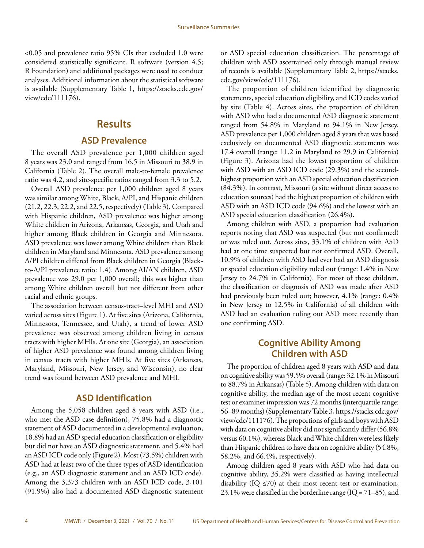<span id="page-5-0"></span><0.05 and prevalence ratio 95% CIs that excluded 1.0 were considered statistically significant. R software (version 4.5; R Foundation) and additional packages were used to conduct analyses. Additional information about the statistical software is available (Supplementary Table 1, [https://stacks.cdc.gov/](https://stacks.cdc.gov/view/cdc/111176) [view/cdc/111176\)](https://stacks.cdc.gov/view/cdc/111176).

### **Results**

#### **ASD Prevalence**

The overall ASD prevalence per 1,000 children aged 8 years was 23.0 and ranged from 16.5 in Missouri to 38.9 in California (Table 2). The overall male-to-female prevalence ratio was 4.2, and site-specific ratios ranged from 3.3 to 5.2.

Overall ASD prevalence per 1,000 children aged 8 years was similar among White, Black, A/PI, and Hispanic children (21.2, 22.3, 22.2, and 22.5, respectively) (Table 3). Compared with Hispanic children, ASD prevalence was higher among White children in Arizona, Arkansas, Georgia, and Utah and higher among Black children in Georgia and Minnesota. ASD prevalence was lower among White children than Black children in Maryland and Minnesota. ASD prevalence among A/PI children differed from Black children in Georgia (Blackto-A/PI prevalence ratio: 1.4). Among AI/AN children, ASD prevalence was 29.0 per 1,000 overall; this was higher than among White children overall but not different from other racial and ethnic groups.

The association between census-tract–level MHI and ASD varied across sites (Figure 1). At five sites (Arizona, California, Minnesota, Tennessee, and Utah), a trend of lower ASD prevalence was observed among children living in census tracts with higher MHIs. At one site (Georgia), an association of higher ASD prevalence was found among children living in census tracts with higher MHIs. At five sites (Arkansas, Maryland, Missouri, New Jersey, and Wisconsin), no clear trend was found between ASD prevalence and MHI.

### **ASD Identification**

Among the 5,058 children aged 8 years with ASD (i.e., who met the ASD case definition), 75.8% had a diagnostic statement of ASD documented in a developmental evaluation, 18.8% had an ASD special education classification or eligibility but did not have an ASD diagnostic statement, and 5.4% had an ASD ICD code only (Figure 2). Most (73.5%) children with ASD had at least two of the three types of ASD identification (e.g., an ASD diagnostic statement and an ASD ICD code). Among the 3,373 children with an ASD ICD code, 3,101 (91.9%) also had a documented ASD diagnostic statement or ASD special education classification. The percentage of children with ASD ascertained only through manual review of records is available (Supplementary Table 2, [https://stacks.](https://stacks.cdc.gov/view/cdc/111176) [cdc.gov/view/cdc/111176](https://stacks.cdc.gov/view/cdc/111176)).

The proportion of children identified by diagnostic statements, special education eligibility, and ICD codes varied by site (Table 4). Across sites, the proportion of children with ASD who had a documented ASD diagnostic statement ranged from 54.8% in Maryland to 94.1% in New Jersey. ASD prevalence per 1,000 children aged 8 years that was based exclusively on documented ASD diagnostic statements was 17.4 overall (range: 11.2 in Maryland to 29.9 in California) (Figure 3). Arizona had the lowest proportion of children with ASD with an ASD ICD code (29.3%) and the secondhighest proportion with an ASD special education classification (84.3%). In contrast, Missouri (a site without direct access to education sources) had the highest proportion of children with ASD with an ASD ICD code (94.6%) and the lowest with an ASD special education classification (26.4%).

Among children with ASD, a proportion had evaluation reports noting that ASD was suspected (but not confirmed) or was ruled out. Across sites, 33.1% of children with ASD had at one time suspected but not confirmed ASD. Overall, 10.9% of children with ASD had ever had an ASD diagnosis or special education eligibility ruled out (range: 1.4% in New Jersey to 24.7% in California). For most of these children, the classification or diagnosis of ASD was made after ASD had previously been ruled out; however, 4.1% (range: 0.4% in New Jersey to 12.5% in California) of all children with ASD had an evaluation ruling out ASD more recently than one confirming ASD.

### **Cognitive Ability Among Children with ASD**

The proportion of children aged 8 years with ASD and data on cognitive ability was 59.5% overall (range: 32.1% in Missouri to 88.7% in Arkansas) (Table 5). Among children with data on cognitive ability, the median age of the most recent cognitive test or examiner impression was 72 months (interquartile range: 56–89 months) (Supplementary Table 3, [https://stacks.cdc.gov/](https://stacks.cdc.gov/view/cdc/111176) [view/cdc/111176\)](https://stacks.cdc.gov/view/cdc/111176). The proportions of girls and boys with ASD with data on cognitive ability did not significantly differ (56.8% versus 60.1%), whereas Black and White children were less likely than Hispanic children to have data on cognitive ability (54.8%, 58.2%, and 66.4%, respectively).

Among children aged 8 years with ASD who had data on cognitive ability, 35.2% were classified as having intellectual disability (IQ  $\leq$ 70) at their most recent test or examination, 23.1% were classified in the borderline range (IQ =  $71-85$ ), and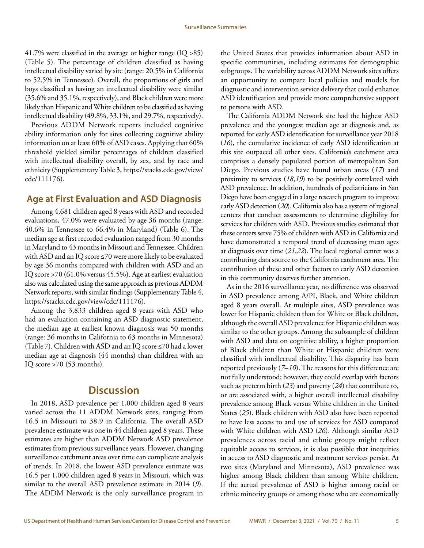<span id="page-6-0"></span>41.7% were classified in the average or higher range (IQ >85) (Table 5). The percentage of children classified as having intellectual disability varied by site (range: 20.5% in California to 52.5% in Tennessee). Overall, the proportions of girls and boys classified as having an intellectual disability were similar (35.6% and 35.1%, respectively), and Black children were more likely than Hispanic and White children to be classified as having intellectual disability (49.8%, 33.1%, and 29.7%, respectively).

Previous ADDM Network reports included cognitive ability information only for sites collecting cognitive ability information on at least 60% of ASD cases. Applying that 60% threshold yielded similar percentages of children classified with intellectual disability overall, by sex, and by race and ethnicity (Supplementary Table 3, [https://stacks.cdc.gov/view/](https://stacks.cdc.gov/view/cdc/111176) [cdc/111176\)](https://stacks.cdc.gov/view/cdc/111176).

### **Age at First Evaluation and ASD Diagnosis**

Among 4,681 children aged 8 years with ASD and recorded evaluations, 47.0% were evaluated by age 36 months (range: 40.6% in Tennessee to 66.4% in Maryland) (Table 6). The median age at first recorded evaluation ranged from 30 months in Maryland to 43 months in Missouri and Tennessee. Children with ASD and an IQ score ≤70 were more likely to be evaluated by age 36 months compared with children with ASD and an IQ score >70 (61.0% versus 45.5%). Age at earliest evaluation also was calculated using the same approach as previous ADDM Network reports, with similar findings (Supplementary Table 4, <https://stacks.cdc.gov/view/cdc/111176>).

Among the 3,833 children aged 8 years with ASD who had an evaluation containing an ASD diagnostic statement, the median age at earliest known diagnosis was 50 months (range: 36 months in California to 63 months in Minnesota) (Table 7). Children with ASD and an IQ score ≤70 had a lower median age at diagnosis (44 months) than children with an IQ score >70 (53 months).

### **Discussion**

In 2018, ASD prevalence per 1,000 children aged 8 years varied across the 11 ADDM Network sites, ranging from 16.5 in Missouri to 38.9 in California. The overall ASD prevalence estimate was one in 44 children aged 8 years. These estimates are higher than ADDM Network ASD prevalence estimates from previous surveillance years. However, changing surveillance catchment areas over time can complicate analysis of trends. In 2018, the lowest ASD prevalence estimate was 16.5 per 1,000 children aged 8 years in Missouri, which was similar to the overall ASD prevalence estimate in 2014 (*9*). The ADDM Network is the only surveillance program in

the United States that provides information about ASD in specific communities, including estimates for demographic subgroups. The variability across ADDM Network sites offers an opportunity to compare local policies and models for diagnostic and intervention service delivery that could enhance ASD identification and provide more comprehensive support to persons with ASD.

The California ADDM Network site had the highest ASD prevalence and the youngest median age at diagnosis and, as reported for early ASD identification for surveillance year 2018 (*16*), the cumulative incidence of early ASD identification at this site outpaced all other sites. California's catchment area comprises a densely populated portion of metropolitan San Diego. Previous studies have found urban areas (*17*) and proximity to services (*18*,*19*) to be positively correlated with ASD prevalence. In addition, hundreds of pediatricians in San Diego have been engaged in a large research program to improve early ASD detection (*20*). California also has a system of regional centers that conduct assessments to determine eligibility for services for children with ASD. Previous studies estimated that these centers serve 75% of children with ASD in California and have demonstrated a temporal trend of decreasing mean ages at diagnosis over time (*21*,*22*). The local regional center was a contributing data source to the California catchment area. The contribution of these and other factors to early ASD detection in this community deserves further attention.

As in the 2016 surveillance year, no difference was observed in ASD prevalence among A/PI, Black, and White children aged 8 years overall. At multiple sites, ASD prevalence was lower for Hispanic children than for White or Black children, although the overall ASD prevalence for Hispanic children was similar to the other groups. Among the subsample of children with ASD and data on cognitive ability, a higher proportion of Black children than White or Hispanic children were classified with intellectual disability. This disparity has been reported previously (*7*–*10*). The reasons for this difference are not fully understood; however, they could overlap with factors such as preterm birth (*23*) and poverty (*24*) that contribute to, or are associated with, a higher overall intellectual disability prevalence among Black versus White children in the United States (*25*). Black children with ASD also have been reported to have less access to and use of services for ASD compared with White children with ASD (*26*). Although similar ASD prevalences across racial and ethnic groups might reflect equitable access to services, it is also possible that inequities in access to ASD diagnostic and treatment services persist. At two sites (Maryland and Minnesota), ASD prevalence was higher among Black children than among White children. If the actual prevalence of ASD is higher among racial or ethnic minority groups or among those who are economically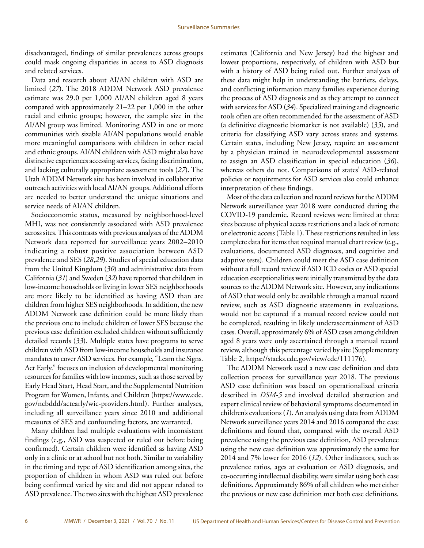disadvantaged, findings of similar prevalences across groups could mask ongoing disparities in access to ASD diagnosis and related services.

Data and research about AI/AN children with ASD are limited (*27*). The 2018 ADDM Network ASD prevalence estimate was 29.0 per 1,000 AI/AN children aged 8 years compared with approximately 21–22 per 1,000 in the other racial and ethnic groups; however, the sample size in the AI/AN group was limited. Monitoring ASD in one or more communities with sizable AI/AN populations would enable more meaningful comparisons with children in other racial and ethnic groups. AI/AN children with ASD might also have distinctive experiences accessing services, facing discrimination, and lacking culturally appropriate assessment tools (*27*). The Utah ADDM Network site has been involved in collaborative outreach activities with local AI/AN groups. Additional efforts are needed to better understand the unique situations and service needs of AI/AN children.

Socioeconomic status, measured by neighborhood-level MHI, was not consistently associated with ASD prevalence across sites. This contrasts with previous analyses of the ADDM Network data reported for surveillance years 2002–2010 indicating a robust positive association between ASD prevalence and SES (*28*,*29*). Studies of special education data from the United Kingdom (*30*) and administrative data from California (*31*) and Sweden (*32*) have reported that children in low-income households or living in lower SES neighborhoods are more likely to be identified as having ASD than are children from higher SES neighborhoods. In addition, the new ADDM Network case definition could be more likely than the previous one to include children of lower SES because the previous case definition excluded children without sufficiently detailed records (*33*). Multiple states have programs to serve children with ASD from low-income households and insurance mandates to cover ASD services. For example, "Learn the Signs. Act Early." focuses on inclusion of developmental monitoring resources for families with low incomes, such as those served by Early Head Start, Head Start, and the Supplemental Nutrition Program for Women, Infants, and Children ([https://www.cdc.](https://www.cdc.gov/ncbddd/actearly/wic-providers.html) [gov/ncbddd/actearly/wic-providers.html](https://www.cdc.gov/ncbddd/actearly/wic-providers.html)). Further analyses, including all surveillance years since 2010 and additional measures of SES and confounding factors, are warranted.

Many children had multiple evaluations with inconsistent findings (e.g., ASD was suspected or ruled out before being confirmed). Certain children were identified as having ASD only in a clinic or at school but not both. Similar to variability in the timing and type of ASD identification among sites, the proportion of children in whom ASD was ruled out before being confirmed varied by site and did not appear related to ASD prevalence. The two sites with the highest ASD prevalence

estimates (California and New Jersey) had the highest and lowest proportions, respectively, of children with ASD but with a history of ASD being ruled out. Further analyses of these data might help in understanding the barriers, delays, and conflicting information many families experience during the process of ASD diagnosis and as they attempt to connect with services for ASD (*34*). Specialized training and diagnostic tools often are often recommended for the assessment of ASD (a definitive diagnostic biomarker is not available) (*35*), and criteria for classifying ASD vary across states and systems. Certain states, including New Jersey, require an assessment by a physician trained in neurodevelopmental assessment to assign an ASD classification in special education (*36*), whereas others do not. Comparisons of states' ASD-related policies or requirements for ASD services also could enhance interpretation of these findings.

Most of the data collection and record reviews for the ADDM Network surveillance year 2018 were conducted during the COVID-19 pandemic. Record reviews were limited at three sites because of physical access restrictions and a lack of remote or electronic access (Table 1). These restrictions resulted in less complete data for items that required manual chart review (e.g., evaluations, documented ASD diagnoses, and cognitive and adaptive tests). Children could meet the ASD case definition without a full record review if ASD ICD codes or ASD special education exceptionalities were initially transmitted by the data sources to the ADDM Network site. However, any indications of ASD that would only be available through a manual record review, such as ASD diagnostic statements in evaluations, would not be captured if a manual record review could not be completed, resulting in likely underascertainment of ASD cases. Overall, approximately 6% of ASD cases among children aged 8 years were only ascertained through a manual record review, although this percentage varied by site (Supplementary Table 2, [https://stacks.cdc.gov/view/cdc/111176\)](https://stacks.cdc.gov/view/cdc/111176).

The ADDM Network used a new case definition and data collection process for surveillance year 2018. The previous ASD case definition was based on operationalized criteria described in *DSM-5* and involved detailed abstraction and expert clinical review of behavioral symptoms documented in children's evaluations (*1*). An analysis using data from ADDM Network surveillance years 2014 and 2016 compared the case definitions and found that, compared with the overall ASD prevalence using the previous case definition, ASD prevalence using the new case definition was approximately the same for 2014 and 7% lower for 2016 (*12*). Other indicators, such as prevalence ratios, ages at evaluation or ASD diagnosis, and co-occurring intellectual disability, were similar using both case definitions. Approximately 86% of all children who met either the previous or new case definition met both case definitions.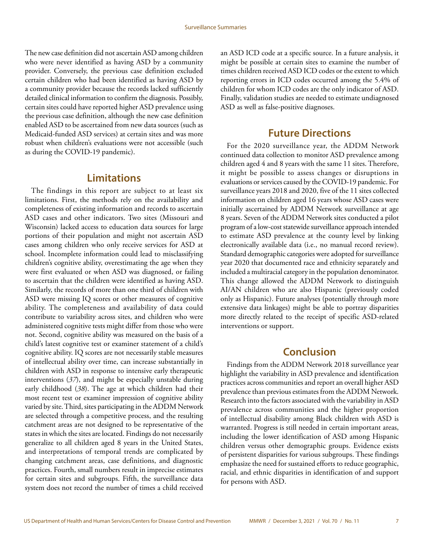<span id="page-8-0"></span>The new case definition did not ascertain ASD among children who were never identified as having ASD by a community provider. Conversely, the previous case definition excluded certain children who had been identified as having ASD by a community provider because the records lacked sufficiently detailed clinical information to confirm the diagnosis. Possibly, certain sites could have reported higher ASD prevalence using the previous case definition, although the new case definition enabled ASD to be ascertained from new data sources (such as Medicaid-funded ASD services) at certain sites and was more robust when children's evaluations were not accessible (such as during the COVID-19 pandemic).

### **Limitations**

The findings in this report are subject to at least six limitations. First, the methods rely on the availability and completeness of existing information and records to ascertain ASD cases and other indicators. Two sites (Missouri and Wisconsin) lacked access to education data sources for large portions of their population and might not ascertain ASD cases among children who only receive services for ASD at school. Incomplete information could lead to misclassifying children's cognitive ability, overestimating the age when they were first evaluated or when ASD was diagnosed, or failing to ascertain that the children were identified as having ASD. Similarly, the records of more than one third of children with ASD were missing IQ scores or other measures of cognitive ability. The completeness and availability of data could contribute to variability across sites, and children who were administered cognitive tests might differ from those who were not. Second, cognitive ability was measured on the basis of a child's latest cognitive test or examiner statement of a child's cognitive ability. IQ scores are not necessarily stable measures of intellectual ability over time, can increase substantially in children with ASD in response to intensive early therapeutic interventions (*37*), and might be especially unstable during early childhood (*38*). The age at which children had their most recent test or examiner impression of cognitive ability varied by site. Third, sites participating in the ADDM Network are selected through a competitive process, and the resulting catchment areas are not designed to be representative of the states in which the sites are located. Findings do not necessarily generalize to all children aged 8 years in the United States, and interpretations of temporal trends are complicated by changing catchment areas, case definitions, and diagnostic practices. Fourth, small numbers result in imprecise estimates for certain sites and subgroups. Fifth, the surveillance data system does not record the number of times a child received

an ASD ICD code at a specific source. In a future analysis, it might be possible at certain sites to examine the number of times children received ASD ICD codes or the extent to which reporting errors in ICD codes occurred among the 5.4% of children for whom ICD codes are the only indicator of ASD. Finally, validation studies are needed to estimate undiagnosed ASD as well as false-positive diagnoses.

### **Future Directions**

For the 2020 surveillance year, the ADDM Network continued data collection to monitor ASD prevalence among children aged 4 and 8 years with the same 11 sites. Therefore, it might be possible to assess changes or disruptions in evaluations or services caused by the COVID-19 pandemic. For surveillance years 2018 and 2020, five of the 11 sites collected information on children aged 16 years whose ASD cases were initially ascertained by ADDM Network surveillance at age 8 years. Seven of the ADDM Network sites conducted a pilot program of a low-cost statewide surveillance approach intended to estimate ASD prevalence at the county level by linking electronically available data (i.e., no manual record review). Standard demographic categories were adopted for surveillance year 2020 that documented race and ethnicity separately and included a multiracial category in the population denominator. This change allowed the ADDM Network to distinguish AI/AN children who are also Hispanic (previously coded only as Hispanic). Future analyses (potentially through more extensive data linkages) might be able to portray disparities more directly related to the receipt of specific ASD-related interventions or support.

### **Conclusion**

Findings from the ADDM Network 2018 surveillance year highlight the variability in ASD prevalence and identification practices across communities and report an overall higher ASD prevalence than previous estimates from the ADDM Network. Research into the factors associated with the variability in ASD prevalence across communities and the higher proportion of intellectual disability among Black children with ASD is warranted. Progress is still needed in certain important areas, including the lower identification of ASD among Hispanic children versus other demographic groups. Evidence exists of persistent disparities for various subgroups. These findings emphasize the need for sustained efforts to reduce geographic, racial, and ethnic disparities in identification of and support for persons with ASD.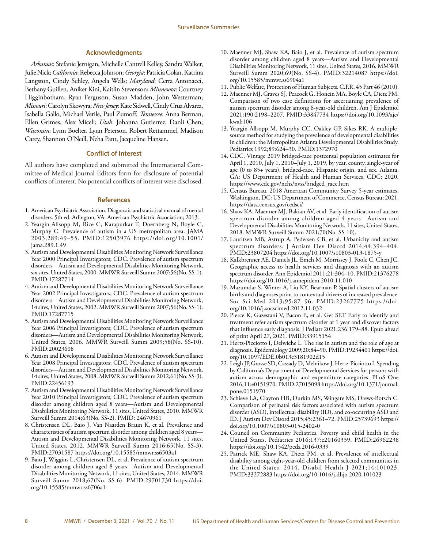#### **Acknowledgments**

<span id="page-9-0"></span>*Arkansas*: Stefanie Jernigan, Michelle Cantrell Kelley, Sandra Walker, Julie Nick; *California*: Rebecca Johnson; *Georgia*: Patricia Colan, Katrina Langston, Cindy Schley, Angela Wells; *Maryland*: Cerra Antonacci, Bethany Guillen, Aniket Kini, Kaitlin Stevenson; *Minnesota*: Courtney Higginbotham, Ryan Ferguson, Susan Madden, John Westerman; *Missouri*: Carolyn Skowyra; *New Jersey*: Kate Sidwell, Cindy Cruz Alvarez, Isabella Gallo, Michael Verile, Paul Zumoff; *Tennessee*: Anna Berman, Ellen Grimes, Alex Miceli; *Utah*: Johanna Gutierrez, Danli Chen; *Wisconsin*: Lynn Boelter, Lynn Peterson, Robert Rettammel, Madison Carey, Shannon O'Neill, Neha Pant, Jacqueline Hansen.

#### **Conflict of Interest**

All authors have completed and submitted the International Committee of Medical Journal Editors form for disclosure of potential conflicts of interest. No potential conflicts of interest were disclosed.

#### **References**

- 1. American Psychiatric Association. Diagnostic and statistical manual of mental disorders. 5th ed. Arlington, VA: American Psychiatric Association; 2013.
- 2. Yeargin-Allsopp M, Rice C, Karapurkar T, Doernberg N, Boyle C, Murphy C. Prevalence of autism in a US metropolitan area. JAMA 2003;289:49–55. [PMID:12503976](https://www.ncbi.nlm.nih.gov/entrez/query.fcgi?cmd=Retrieve&db=PubMed&list_uids=12503976&dopt=Abstract) [https://doi.org/10.1001/](https://doi.org/10.1001/jama.289.1.49) [jama.289.1.49](https://doi.org/10.1001/jama.289.1.49)
- 3. Autism and Developmental Disabilities Monitoring Network Surveillance Year 2000 Principal Investigators; CDC. Prevalence of autism spectrum disorders—Autism and Developmental Disabilities Monitoring Network, six sites, United States, 2000. MMWR Surveill Summ 2007;56(No. SS-1). [PMID:17287714](https://www.ncbi.nlm.nih.gov/entrez/query.fcgi?cmd=Retrieve&db=PubMed&list_uids=17287714&dopt=Abstract)
- 4. Autism and Developmental Disabilities Monitoring Network Surveillance Year 2002 Principal Investigators; CDC. Prevalence of autism spectrum disorders—Autism and Developmental Disabilities Monitoring Network, 14 sites, United States, 2002. MMWR Surveill Summ 2007;56(No. SS-1). [PMID:17287715](https://www.ncbi.nlm.nih.gov/entrez/query.fcgi?cmd=Retrieve&db=PubMed&list_uids=17287715&dopt=Abstract)
- 5. Autism and Developmental Disabilities Monitoring Network Surveillance Year 2006 Principal Investigators; CDC. Prevalence of autism spectrum disorders—Autism and Developmental Disabilities Monitoring Network, United States, 2006. MMWR Surveill Summ 2009;58(No. SS-10). [PMID:20023608](https://www.ncbi.nlm.nih.gov/entrez/query.fcgi?cmd=Retrieve&db=PubMed&list_uids=20023608&dopt=Abstract)
- 6. Autism and Developmental Disabilities Monitoring Network Surveillance Year 2008 Principal Investigators; CDC. Prevalence of autism spectrum disorders—Autism and Developmental Disabilities Monitoring Network, 14 sites, United States, 2008. MMWR Surveill Summ 2012;61(No. SS-3). [PMID:22456193](https://www.ncbi.nlm.nih.gov/entrez/query.fcgi?cmd=Retrieve&db=PubMed&list_uids=22456193&dopt=Abstract)
- 7. Autism and Developmental Disabilities Monitoring Network Surveillance Year 2010 Principal Investigators; CDC. Prevalence of autism spectrum disorder among children aged 8 years—Autism and Developmental Disabilities Monitoring Network, 11 sites, United States, 2010. MMWR Surveill Summ 2014;63(No. SS-2). [PMID: 24670961](https://pubmed.ncbi.nlm.nih.gov/24670961/)
- 8. Christensen DL, Baio J, Van Naarden Braun K, et al. Prevalence and characteristics of autism spectrum disorder among children aged 8 years— Autism and Developmental Disabilities Monitoring Network, 11 sites, United States, 2012. MMWR Surveill Summ 2016;65(No. SS-3). [PMID:27031587](https://www.ncbi.nlm.nih.gov/entrez/query.fcgi?cmd=Retrieve&db=PubMed&list_uids=27031587&dopt=Abstract) <https://doi.org/10.15585/mmwr.ss6503a1>
- 9. Baio J, Wiggins L, Christensen DL, et al. Prevalence of autism spectrum disorder among children aged 8 years—Autism and Developmental Disabilities Monitoring Network, 11 sites, United States, 2014. MMWR Surveill Summ 2018;67(No. SS-6). [PMID:29701730](https://www.ncbi.nlm.nih.gov/entrez/query.fcgi?cmd=Retrieve&db=PubMed&list_uids=29701730&dopt=Abstract) [https://doi.](https://doi.org/10.15585/mmwr.ss6706a1) [org/10.15585/mmwr.ss6706a1](https://doi.org/10.15585/mmwr.ss6706a1)
- 10. Maenner MJ, Shaw KA, Baio J, et al. Prevalence of autism spectrum disorder among children aged 8 years—Autism and Developmental Disabilities Monitoring Network, 11 sites, United States, 2016. MMWR Surveill Summ 2020;69(No. SS-4). [PMID:32214087](https://www.ncbi.nlm.nih.gov/entrez/query.fcgi?cmd=Retrieve&db=PubMed&list_uids=32214087&dopt=Abstract) [https://doi.](https://doi.org/10.15585/mmwr.ss6904a1) [org/10.15585/mmwr.ss6904a1](https://doi.org/10.15585/mmwr.ss6904a1)
- 11. Public Welfare, Protection of Human Subjects. C.F.R. 45 Part 46 (2010).
- 12. Maenner MJ, Graves SJ, Peacock G, Honein MA, Boyle CA, Dietz PM. Comparison of two case definitions for ascertaining prevalence of autism spectrum disorder among 8-year-old children. Am J Epidemiol 2021;190:2198–2207. [PMID:33847734](https://www.ncbi.nlm.nih.gov/entrez/query.fcgi?cmd=Retrieve&db=PubMed&list_uids=33847734&dopt=Abstract) [https://doi.org/10.1093/aje/](https://doi.org/10.1093/aje/kwab106) [kwab106](https://doi.org/10.1093/aje/kwab106)
- 13. Yeargin-Allsopp M, Murphy CC, Oakley GP, Sikes RK. A multiplesource method for studying the prevalence of developmental disabilities in children: the Metropolitan Atlanta Developmental Disabilities Study. Pediatrics 1992;89:624–30[. PMID:1372970](https://www.ncbi.nlm.nih.gov/entrez/query.fcgi?cmd=Retrieve&db=PubMed&list_uids=1372970&dopt=Abstract)
- 14. CDC. Vintage 2019 bridged-race postcensal population estimates for April 1, 2010, July 1, 2010–July 1, 2019, by year, county, single-year of age (0 to 85+ years), bridged-race, Hispanic origin, and sex. Atlanta, GA: US Department of Health and Human Services, CDC; 2020. [https://www.cdc.gov/nchs/nvss/bridged\\_race.htm](https://www.cdc.gov/nchs/nvss/bridged_race.htm)
- 15. Census Bureau. 2018 American Community Survey 5-year estimates. Washington, DC: US Department of Commerce, Census Bureau; 2021. <https://data.census.gov/cedsci/>
- 16. Shaw KA, Maenner MJ, Bakian AV, et al. Early identification of autism spectrum disorder among children aged 4 years—Autism and Developmental Disabilities Monitoring Network, 11 sites, United States, 2018. MMWR Surveill Summ 2021;70(No. SS-10).
- 17. Lauritsen MB, Astrup A, Pedersen CB, et al. Urbanicity and autism spectrum disorders. J Autism Dev Disord 2014;44:394–404. [PMID:23807204](https://www.ncbi.nlm.nih.gov/entrez/query.fcgi?cmd=Retrieve&db=PubMed&list_uids=23807204&dopt=Abstract) <https://doi.org/10.1007/s10803-013-1875-y>
- 18. Kalkbrenner AE, Daniels JL, Emch M, Morrissey J, Poole C, Chen JC. Geographic access to health services and diagnosis with an autism spectrum disorder. Ann Epidemiol 2011;21:304–10. [PMID:21376278](https://www.ncbi.nlm.nih.gov/entrez/query.fcgi?cmd=Retrieve&db=PubMed&list_uids=21376278&dopt=Abstract) <https://doi.org/10.1016/j.annepidem.2010.11.010>
- 19. Mazumdar S, Winter A, Liu KY, Bearman P. Spatial clusters of autism births and diagnoses point to contextual drivers of increased prevalence. Soc Sci Med 2013;95:87–96. [PMID:23267775](https://www.ncbi.nlm.nih.gov/entrez/query.fcgi?cmd=Retrieve&db=PubMed&list_uids=23267775&dopt=Abstract) [https://doi.](https://doi.org/10.1016/j.socscimed.2012.11.032) [org/10.1016/j.socscimed.2012.11.032](https://doi.org/10.1016/j.socscimed.2012.11.032)
- 20. Pierce K, Gazestani V, Bacon E, et al. Get SET Early to identify and treatment refer autism spectrum disorder at 1 year and discover factors that influence early diagnosis. J Pediatr 2021;236:179–88. Epub ahead of print April 27, 2021. [PMID:33915154](https://www.ncbi.nlm.nih.gov/entrez/query.fcgi?cmd=Retrieve&db=PubMed&list_uids=33915154&dopt=Abstract)
- 21. Hertz-Picciotto I, Delwiche L. The rise in autism and the role of age at diagnosis. Epidemiology 2009;20:84–90. [PMID:19234401](https://www.ncbi.nlm.nih.gov/entrez/query.fcgi?cmd=Retrieve&db=PubMed&list_uids=19234401&dopt=Abstract) [https://doi.](https://doi.org/10.1097/EDE.0b013e3181902d15) [org/10.1097/EDE.0b013e3181902d15](https://doi.org/10.1097/EDE.0b013e3181902d15)
- 22. Leigh JP, Grosse SD, Cassady D, Melnikow J, Hertz-Picciotto I. Spending by California's Department of Developmental Services for persons with autism across demographic and expenditure categories. PLoS One 2016;11:e0151970[. PMID:27015098](https://www.ncbi.nlm.nih.gov/entrez/query.fcgi?cmd=Retrieve&db=PubMed&list_uids=27015098&dopt=Abstract) [https://doi.org/10.1371/journal.](https://doi.org/10.1371/journal.pone.0151970) [pone.0151970](https://doi.org/10.1371/journal.pone.0151970)
- 23. Schieve LA, Clayton HB, Durkin MS, Wingate MS, Drews-Botsch C. Comparison of perinatal risk factors associated with autism spectrum disorder (ASD), intellectual disability (ID), and co-occurring ASD and ID. J Autism Dev Disord 2015;45:2361–72[. PMID:25739693](https://www.ncbi.nlm.nih.gov/entrez/query.fcgi?cmd=Retrieve&db=PubMed&list_uids=25739693&dopt=Abstract) [https://](https://doi.org/10.1007/s10803-015-2402-0) [doi.org/10.1007/s10803-015-2402-0](https://doi.org/10.1007/s10803-015-2402-0)
- 24. Council on Community Pediatrics. Poverty and child health in the United States. Pediatrics 2016;137:e20160339. [PMID:26962238](https://www.ncbi.nlm.nih.gov/entrez/query.fcgi?cmd=Retrieve&db=PubMed&list_uids=26962238&dopt=Abstract) <https://doi.org/10.1542/peds.2016-0339>
- 25. Patrick ME, Shaw KA, Dietz PM, et al. Prevalence of intellectual disability among eight-year-old children from selected communities in the United States, 2014. Disabil Health J 2021;14:101023. [PMID:33272883](https://www.ncbi.nlm.nih.gov/entrez/query.fcgi?cmd=Retrieve&db=PubMed&list_uids=33272883&dopt=Abstract) <https://doi.org/10.1016/j.dhjo.2020.101023>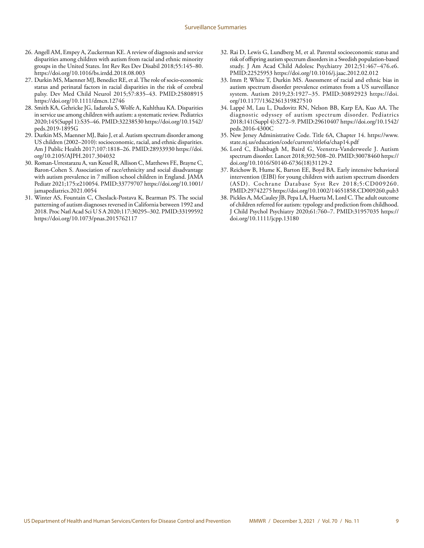- 26. Angell AM, Empey A, Zuckerman KE. A review of diagnosis and service disparities among children with autism from racial and ethnic minority groups in the United States. Int Rev Res Dev Disabil 2018;55:145–80. <https://doi.org/10.1016/bs.irrdd.2018.08.003>
- 27. Durkin MS, Maenner MJ, Benedict RE, et al. The role of socio-economic status and perinatal factors in racial disparities in the risk of cerebral palsy. Dev Med Child Neurol 2015;57:835–43. [PMID:25808915](https://www.ncbi.nlm.nih.gov/entrez/query.fcgi?cmd=Retrieve&db=PubMed&list_uids=25808915&dopt=Abstract) <https://doi.org/10.1111/dmcn.12746>
- 28. Smith KA, Gehricke JG, Iadarola S, Wolfe A, Kuhlthau KA. Disparities in service use among children with autism: a systematic review. Pediatrics 2020;145(Suppl 1):S35–46[. PMID:32238530](https://www.ncbi.nlm.nih.gov/entrez/query.fcgi?cmd=Retrieve&db=PubMed&list_uids=32238530&dopt=Abstract) [https://doi.org/10.1542/](https://doi.org/10.1542/peds.2019-1895G) [peds.2019-1895G](https://doi.org/10.1542/peds.2019-1895G)
- 29. Durkin MS, Maenner MJ, Baio J, et al. Autism spectrum disorder among US children (2002–2010): socioeconomic, racial, and ethnic disparities. Am J Public Health 2017;107:1818–26. [PMID:28933930](https://www.ncbi.nlm.nih.gov/entrez/query.fcgi?cmd=Retrieve&db=PubMed&list_uids=28933930&dopt=Abstract) [https://doi.](https://doi.org/10.2105/AJPH.2017.304032) [org/10.2105/AJPH.2017.304032](https://doi.org/10.2105/AJPH.2017.304032)
- 30. Roman-Urrestarazu A, van Kessel R, Allison C, Matthews FE, Brayne C, Baron-Cohen S. Association of race/ethnicity and social disadvantage with autism prevalence in 7 million school children in England. JAMA Pediatr 2021;175:e210054. [PMID:33779707](https://www.ncbi.nlm.nih.gov/entrez/query.fcgi?cmd=Retrieve&db=PubMed&list_uids=33779707&dopt=Abstract) [https://doi.org/10.1001/](https://doi.org/10.1001/jamapediatrics.2021.0054) [jamapediatrics.2021.0054](https://doi.org/10.1001/jamapediatrics.2021.0054)
- 31. Winter AS, Fountain C, Cheslack-Postava K, Bearman PS. The social patterning of autism diagnoses reversed in California between 1992 and 2018. Proc Natl Acad Sci U S A 2020;117:30295–302. [PMID:33199592](https://www.ncbi.nlm.nih.gov/entrez/query.fcgi?cmd=Retrieve&db=PubMed&list_uids=33199592&dopt=Abstract) <https://doi.org/10.1073/pnas.2015762117>
- 32. Rai D, Lewis G, Lundberg M, et al. Parental socioeconomic status and risk of offspring autism spectrum disorders in a Swedish population-based study. J Am Acad Child Adolesc Psychiatry 2012;51:467–476.e6. [PMID:22525953](https://www.ncbi.nlm.nih.gov/entrez/query.fcgi?cmd=Retrieve&db=PubMed&list_uids=22525953&dopt=Abstract) <https://doi.org/10.1016/j.jaac.2012.02.012>
- 33. Imm P, White T, Durkin MS. Assessment of racial and ethnic bias in autism spectrum disorder prevalence estimates from a US surveillance system. Autism 2019;23:1927–35. [PMID:30892923](https://www.ncbi.nlm.nih.gov/entrez/query.fcgi?cmd=Retrieve&db=PubMed&list_uids=30892923&dopt=Abstract) [https://doi.](https://doi.org/10.1177/1362361319827510) [org/10.1177/1362361319827510](https://doi.org/10.1177/1362361319827510)
- 34. Lappé M, Lau L, Dudovitz RN, Nelson BB, Karp EA, Kuo AA. The diagnostic odyssey of autism spectrum disorder. Pediatrics 2018;141(Suppl 4):S272–9. [PMID:29610407](https://www.ncbi.nlm.nih.gov/entrez/query.fcgi?cmd=Retrieve&db=PubMed&list_uids=29610407&dopt=Abstract) [https://doi.org/10.1542/](https://doi.org/10.1542/peds.2016-4300C) [peds.2016-4300C](https://doi.org/10.1542/peds.2016-4300C)
- 35. New Jersey Administrative Code. Title 6A, Chapter 14. [https://www.](https://www.state.nj.us/education/code/current/title6a/chap14.pdf) [state.nj.us/education/code/current/title6a/chap14.pdf](https://www.state.nj.us/education/code/current/title6a/chap14.pdf)
- 36. Lord C, Elsabbagh M, Baird G, Veenstra-Vanderweele J. Autism spectrum disorder. Lancet 2018;392:508–20[. PMID:30078460](https://www.ncbi.nlm.nih.gov/entrez/query.fcgi?cmd=Retrieve&db=PubMed&list_uids=30078460&dopt=Abstract) [https://](https://doi.org/10.1016/S0140-6736(18)31129-2) [doi.org/10.1016/S0140-6736\(18\)31129-2](https://doi.org/10.1016/S0140-6736(18)31129-2)
- 37. Reichow B, Hume K, Barton EE, Boyd BA. Early intensive behavioral intervention (EIBI) for young children with autism spectrum disorders (ASD). Cochrane Database Syst Rev 2018;5:CD009260. [PMID:29742275](https://www.ncbi.nlm.nih.gov/entrez/query.fcgi?cmd=Retrieve&db=PubMed&list_uids=29742275&dopt=Abstract) <https://doi.org/10.1002/14651858.CD009260.pub3>
- 38. Pickles A, McCauley JB, Pepa LA, Huerta M, Lord C. The adult outcome of children referred for autism: typology and prediction from childhood. J Child Psychol Psychiatry 2020;61:760–7. [PMID:31957035](https://www.ncbi.nlm.nih.gov/entrez/query.fcgi?cmd=Retrieve&db=PubMed&list_uids=31957035&dopt=Abstract) [https://](https://doi.org/10.1111/jcpp.13180) [doi.org/10.1111/jcpp.13180](https://doi.org/10.1111/jcpp.13180)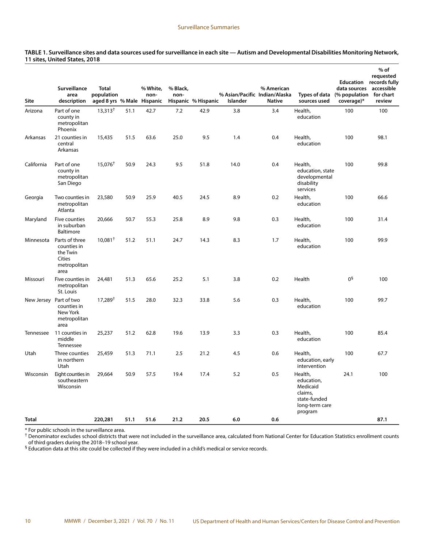| Site       | Surveillance<br>area<br>description                                         | <b>Total</b><br>population<br>aged 8 yrs % Male Hispanic |      | % White.<br>non- | % Black,<br>non- | Hispanic % Hispanic | % Asian/Pacific Indian/Alaska<br>Islander | % American<br><b>Native</b> | Types of data<br>sources used                                                             | data sources<br>(% population<br>coverage)* | $%$ of<br>requested<br><b>Education</b> records fully<br>accessible<br>for chart<br>review |
|------------|-----------------------------------------------------------------------------|----------------------------------------------------------|------|------------------|------------------|---------------------|-------------------------------------------|-----------------------------|-------------------------------------------------------------------------------------------|---------------------------------------------|--------------------------------------------------------------------------------------------|
| Arizona    | Part of one<br>county in<br>metropolitan<br>Phoenix                         | $13,313^{\dagger}$                                       | 51.1 | 42.7             | 7.2              | 42.9                | 3.8                                       | 3.4                         | Health,<br>education                                                                      | 100                                         | 100                                                                                        |
| Arkansas   | 21 counties in<br>central<br>Arkansas                                       | 15,435                                                   | 51.5 | 63.6             | 25.0             | 9.5                 | 1.4                                       | 0.4                         | Health,<br>education                                                                      | 100                                         | 98.1                                                                                       |
| California | Part of one<br>county in<br>metropolitan<br>San Diego                       | $15,076^+$                                               | 50.9 | 24.3             | 9.5              | 51.8                | 14.0                                      | 0.4                         | Health,<br>education, state<br>developmental<br>disability<br>services                    | 100                                         | 99.8                                                                                       |
| Georgia    | Two counties in<br>metropolitan<br>Atlanta                                  | 23,580                                                   | 50.9 | 25.9             | 40.5             | 24.5                | 8.9                                       | 0.2                         | Health,<br>education                                                                      | 100                                         | 66.6                                                                                       |
| Maryland   | Five counties<br>in suburban<br>Baltimore                                   | 20,666                                                   | 50.7 | 55.3             | 25.8             | 8.9                 | 9.8                                       | 0.3                         | Health,<br>education                                                                      | 100                                         | 31.4                                                                                       |
| Minnesota  | Parts of three<br>counties in<br>the Twin<br>Cities<br>metropolitan<br>area | $10,081^+$                                               | 51.2 | 51.1             | 24.7             | 14.3                | 8.3                                       | 1.7                         | Health,<br>education                                                                      | 100                                         | 99.9                                                                                       |
| Missouri   | Five counties in<br>metropolitan<br>St. Louis                               | 24,481                                                   | 51.3 | 65.6             | 25.2             | 5.1                 | 3.8                                       | 0.2                         | Health                                                                                    | 0 <sup>5</sup>                              | 100                                                                                        |
|            | New Jersey Part of two<br>counties in<br>New York<br>metropolitan<br>area   | $17,289^{\dagger}$                                       | 51.5 | 28.0             | 32.3             | 33.8                | 5.6                                       | 0.3                         | Health,<br>education                                                                      | 100                                         | 99.7                                                                                       |
| Tennessee  | 11 counties in<br>middle<br>Tennessee                                       | 25,237                                                   | 51.2 | 62.8             | 19.6             | 13.9                | 3.3                                       | 0.3                         | Health,<br>education                                                                      | 100                                         | 85.4                                                                                       |
| Utah       | Three counties<br>in northern<br>Utah                                       | 25,459                                                   | 51.3 | 71.1             | 2.5              | 21.2                | 4.5                                       | 0.6                         | Health,<br>education, early<br>intervention                                               | 100                                         | 67.7                                                                                       |
| Wisconsin  | Eight counties in<br>southeastern<br>Wisconsin                              | 29,664                                                   | 50.9 | 57.5             | 19.4             | 17.4                | 5.2                                       | 0.5                         | Health,<br>education,<br>Medicaid<br>claims,<br>state-funded<br>long-term care<br>program | 24.1                                        | 100                                                                                        |
| Total      |                                                                             | 220,281                                                  | 51.1 | 51.6             | 21.2             | 20.5                | 6.0                                       | 0.6                         |                                                                                           |                                             | 87.1                                                                                       |

#### **TABLE 1. Surveillance sites and data sources used for surveillance in each site — Autism and Developmental Disabilities Monitoring Network, 11 sites, United States, 2018**

\* For public schools in the surveillance area.

<sup>†</sup> Denominator excludes school districts that were not included in the surveillance area, calculated from National Center for Education Statistics enrollment counts of third graders during the 2018–19 school year.

§ Education data at this site could be collected if they were included in a child's medical or service records.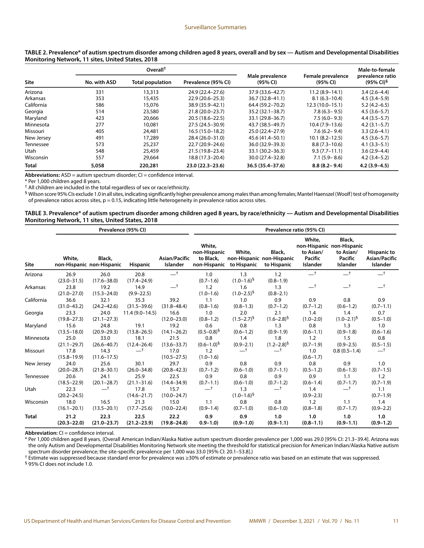|              |              | Overall <sup>†</sup>    |                     |                             |                               | Male-to-female                            |
|--------------|--------------|-------------------------|---------------------|-----------------------------|-------------------------------|-------------------------------------------|
| Site         | No. with ASD | <b>Total population</b> | Prevalence (95% CI) | Male prevalence<br>(95% CI) | Female prevalence<br>(95% CI) | prevalence ratio<br>$(95\% \text{ Cl})^5$ |
| Arizona      | 331          | 13,313                  | 24.9 (22.4-27.6)    | 37.9 (33.6-42.7)            | $11.2(8.9 - 14.1)$            | $3.4(2.6-4.4)$                            |
| Arkansas     | 353          | 15,435                  | $22.9(20.6 - 25.3)$ | 36.7 (32.8-41.1)            | $8.1(6.3-10.4)$               | $4.5(3.4 - 5.9)$                          |
| California   | 586          | 15,076                  | 38.9 (35.9-42.1)    | 64.4 (59.2-70.2)            | $12.3(10.0-15.1)$             | $5.2(4.2 - 6.5)$                          |
| Georgia      | 514          | 23,580                  | 21.8 (20.0-23.7)    | $35.2(32.1 - 38.7)$         | $7.8(6.3 - 9.5)$              | $4.5(3.6 - 5.7)$                          |
| Maryland     | 423          | 20,666                  | 20.5 (18.6 - 22.5)  | 33.1 (29.8-36.7)            | $7.5(6.0 - 9.3)$              | $4.4(3.5-5.7)$                            |
| Minnesota    | 277          | 10,081                  | 27.5 (24.5-30.9)    | 43.7 (38.5-49.7)            | $10.4(7.9-13.6)$              | $4.2(3.1 - 5.7)$                          |
| Missouri     | 405          | 24,481                  | $16.5(15.0-18.2)$   | 25.0 (22.4 - 27.9)          | $7.6(6.2 - 9.4)$              | $3.3(2.6-4.1)$                            |
| New Jersey   | 491          | 17,289                  | 28.4 (26.0-31.0)    | 45.6 (41.4–50.1)            | $10.1 (8.2 - 12.5)$           | $4.5(3.6 - 5.7)$                          |
| Tennessee    | 573          | 25,237                  | 22.7 (20.9-24.6)    | 36.0 (32.9–39.3)            | $8.8(7.3 - 10.6)$             | $4.1(3.3-5.1)$                            |
| Utah         | 548          | 25,459                  | 21.5 (19.8-23.4)    | $33.1 (30.2 - 36.3)$        | $9.3(7.7-11.1)$               | $3.6(2.9 - 4.4)$                          |
| Wisconsin    | 557          | 29,664                  | 18.8 (17.3-20.4)    | 30.0 (27.4 - 32.8)          | $7.1(5.9 - 8.6)$              | $4.2(3.4-5.2)$                            |
| <b>Total</b> | 5,058        | 220,281                 | 23.0 (22.3-23.6)    | 36.5 (35.4-37.6)            | $8.8(8.2 - 9.4)$              | $4.2(3.9 - 4.5)$                          |

#### **TABLE 2. Prevalence\* of autism spectrum disorder among children aged 8 years, overall and by sex — Autism and Developmental Disabilities Monitoring Network, 11 sites, United States, 2018**

Abbreviations: ASD = autism spectrum disorder; CI = confidence interval.

\* Per 1,000 children aged 8 years.

† All children are included in the total regardless of sex or race/ethnicity.

§ Wilson score 95% CIs exclude 1.0 in all sites, indicating significantly higher prevalence among males than among females; Mantel Haenszel (Woolf) test of homogeneity of prevalence ratios across sites,  $p = 0.15$ , indicating little heterogeneity in prevalence ratios across sites.

#### **TABLE 3. Prevalence\* of autism spectrum disorder among children aged 8 years, by race/ethnicity — Autism and Developmental Disabilities Monitoring Network, 11 sites, United States, 2018**

|              |                         |                                     | Prevalence (95% CI)     |                           | Prevalence ratio (95% CI)                           |                          |                                                    |                                            |                                                                                |                                                 |  |
|--------------|-------------------------|-------------------------------------|-------------------------|---------------------------|-----------------------------------------------------|--------------------------|----------------------------------------------------|--------------------------------------------|--------------------------------------------------------------------------------|-------------------------------------------------|--|
| Site         | White,                  | Black,<br>non-Hispanic non-Hispanic | <b>Hispanic</b>         | Asian/Pacific<br>Islander | White,<br>non-Hispanic<br>to Black,<br>non-Hispanic | White,<br>to Hispanic    | Black,<br>non-Hispanic non-Hispanic<br>to Hispanic | White.<br>to Asian/<br>Pacific<br>Islander | Black,<br>non-Hispanic non-Hispanic<br>to Asian/<br><b>Pacific</b><br>Islander | <b>Hispanic to</b><br>Asian/Pacific<br>Islander |  |
| Arizona      | 26.9<br>$(23.0 - 31.5)$ | 26.0<br>$(17.6 - 38.0)$             | 20.8<br>$(17.4 - 24.9)$ | $-$ t                     | 1.0<br>$(0.7 - 1.6)$                                | 1.3<br>$(1.0 - 1.6)^5$   | 1.2<br>$(0.8 - 1.9)$                               | $-$ t                                      | $-†$                                                                           | $-t$                                            |  |
| Arkansas     | 23.8<br>$(21.0 - 27.0)$ | 19.2<br>$(15.3 - 24.0)$             | 14.9<br>$(9.9 - 22.5)$  | $-†$                      | 1.2<br>$(1.0 - 1.6)$                                | 1.6<br>$(1.0 - 2.5)^5$   | 1.3<br>$(0.8 - 2.1)$                               | $-t$                                       | $-†$                                                                           | $-$ t                                           |  |
| California   | 36.6                    | 32.1                                | 35.3                    | 39.2                      | 1.1                                                 | 1.0                      | 0.9                                                | 0.9                                        | 0.8                                                                            | 0.9                                             |  |
|              | $(31.0 - 43.2)$         | $(24.2 - 42.6)$                     | $(31.5 - 39.6)$         | $(31.8 - 48.4)$           | $(0.8 - 1.6)$                                       | $(0.8 - 1.3)$            | $(0.7 - 1.2)$                                      | $(0.7 - 1.2)$                              | $(0.6 - 1.2)$                                                                  | $(0.7 - 1.1)$                                   |  |
| Georgia      | 23.3<br>$(19.8 - 27.3)$ | 24.0<br>$(21.1 - 27.3)$             | $11.4(9.0-14.5)$        | 16.6<br>$(12.0 - 23.0)$   | 1.0<br>$(0.8 - 1.2)$                                | 2.0<br>$(1.5 - 2.7)^5$   | 2.1<br>$(1.6 - 2.8)^5$                             | 1.4<br>$(1.0 - 2.0)$                       | 1.4<br>$(1.0 - 2.1)^5$                                                         | 0.7<br>$(0.5 - 1.0)$                            |  |
| Maryland     | 15.6                    | 24.8                                | 19.1                    | 19.2                      | 0.6                                                 | 0.8                      | 1.3                                                | 0.8                                        | 1.3                                                                            | 1.0                                             |  |
|              | $(13.5 - 18.0)$         | $(20.9 - 29.3)$                     | $(13.8 - 26.5)$         | $(14.1 - 26.2)$           | $(0.5 - 0.8)^5$                                     | $(0.6 - 1.2)$            | $(0.9 - 1.9)$                                      | $(0.6 - 1.1)$                              | $(0.9 - 1.8)$                                                                  | $(0.6 - 1.6)$                                   |  |
| Minnesota    | 25.0                    | 33.0                                | 18.1                    | 21.5                      | 0.8                                                 | 1.4                      | 1.8                                                | 1.2                                        | 1.5                                                                            | 0.8                                             |  |
|              | $(21.1 - 29.7)$         | $(26.6 - 40.7)$                     | $(12.4 - 26.4)$         | $(13.6 - 33.7)$           | $(0.6 - 1.0)^9$                                     | $(0.9 - 2.1)$            | $(1.2 - 2.8)^5$                                    | $(0.7 - 1.9)$                              | $(0.9 - 2.5)$                                                                  | $(0.5 - 1.5)$                                   |  |
| Missouri     | 17.8<br>$(15.8 - 19.9)$ | 14.3<br>$(11.6 - 17.5)$             | $-^{\dagger}$           | 17.0<br>$(10.5 - 27.5)$   | 1.2<br>$(1.0 - 1.6)$                                | $-^{\dagger}$            | $-†$                                               | 1.0<br>$(0.6 - 1.7)$                       | $0.8(0.5-1.4)$                                                                 | $-†$                                            |  |
| New Jersey   | 24.0                    | 25.6                                | 30.1                    | 29.7                      | 0.9                                                 | 0.8                      | 0.9                                                | 0.8                                        | 0.9                                                                            | 1.0                                             |  |
|              | $(20.0 - 28.7)$         | $(21.8 - 30.1)$                     | $(26.0 - 34.8)$         | $(20.8 - 42.3)$           | $(0.7 - 1.2)$                                       | $(0.6 - 1.0)$            | $(0.7 - 1.1)$                                      | $(0.5 - 1.2)$                              | $(0.6 - 1.3)$                                                                  | $(0.7 - 1.5)$                                   |  |
| Tennessee    | 20.6                    | 24.1                                | 25.9                    | 22.5                      | 0.9                                                 | 0.8                      | 0.9                                                | 0.9                                        | 1.1                                                                            | 1.2                                             |  |
|              | $(18.5 - 22.9)$         | $(20.1 - 28.7)$                     | $(21.1 - 31.6)$         | $(14.4 - 34.9)$           | $(0.7 - 1.1)$                                       | $(0.6 - 1.0)$            | $(0.7 - 1.2)$                                      | $(0.6 - 1.4)$                              | $(0.7 - 1.7)$                                                                  | $(0.7 - 1.9)$                                   |  |
| Utah         | 22.3<br>$(20.2 - 24.5)$ |                                     | 17.8<br>$(14.6 - 21.7)$ | 15.7<br>$(10.0 - 24.7)$   | ᆣ                                                   | 1.3<br>$(1.0 - 1.6)^{5}$ | $-$ <sup>†</sup>                                   | 1.4<br>$(0.9 - 2.3)$                       |                                                                                | 1.1<br>$(0.7 - 1.9)$                            |  |
| Wisconsin    | 18.0                    | 16.5                                | 21.3                    | 15.0                      | 1.1                                                 | 0.8                      | 0.8                                                | 1.2                                        | 1.1                                                                            | 1.4                                             |  |
|              | $(16.1 - 20.1)$         | $(13.5 - 20.1)$                     | $(17.7 - 25.6)$         | $(10.0 - 22.4)$           | $(0.9 - 1.4)$                                       | $(0.7 - 1.0)$            | $(0.6 - 1.0)$                                      | $(0.8 - 1.8)$                              | $(0.7 - 1.7)$                                                                  | $(0.9 - 2.2)$                                   |  |
| <b>Total</b> | 21.2                    | 22.3                                | 22.5                    | 22.2                      | 0.9                                                 | 0.9                      | 1.0                                                | 1.0                                        | 1.0                                                                            | 1.0                                             |  |
|              | $(20.3 - 22.0)$         | $(21.0 - 23.7)$                     | $(21.2 - 23.9)$         | $(19.8 - 24.8)$           | $0.9 - 1.0$                                         | $(0.9 - 1.0)$            | $(0.9 - 1.1)$                                      | $(0.8 - 1.1)$                              | $(0.9 - 1.1)$                                                                  | $(0.9 - 1.2)$                                   |  |

**Abbreviation:** CI = confidence interval.

\* Per 1,000 children aged 8 years. (Overall American Indian/Alaska Native autism spectrum disorder prevalence per 1,000 was 29.0 [95% CI: 21.3–39.4]. Arizona was the only Autism and Developmental Disabilities Monitoring Network site meeting the threshold for statistical precision for American Indian/Alaska Native autism spectrum disorder prevalence; the site-specific prevalence per 1,000 was 33.0 [95% CI: 20.1–53.8].)

† Estimate was suppressed because standard error for prevalence was ≥30% of estimate or prevalence ratio was based on an estimate that was suppressed.

§ 95% CI does not include 1.0.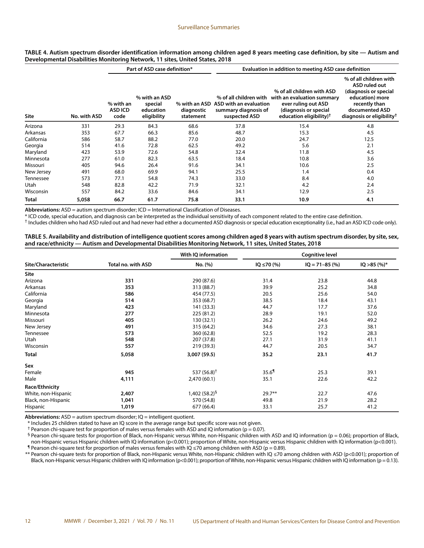#### Surveillance Summaries

#### **TABLE 4. Autism spectrum disorder identification information among children aged 8 years meeting case definition, by site — Autism and Developmental Disabilities Monitoring Network, 11 sites, United States, 2018**

|              |              |                              | Part of ASD case definition*                         |                                          | Evaluation in addition to meeting ASD case definition           |                                                                                                                                                                        |                                                                                                                                                                        |  |  |
|--------------|--------------|------------------------------|------------------------------------------------------|------------------------------------------|-----------------------------------------------------------------|------------------------------------------------------------------------------------------------------------------------------------------------------------------------|------------------------------------------------------------------------------------------------------------------------------------------------------------------------|--|--|
| <b>Site</b>  | No. with ASD | % with an<br>ASD ICD<br>code | % with an ASD<br>special<br>education<br>eligibility | % with an ASD<br>diagnostic<br>statement | ASD with an evaluation<br>summary diagnosis of<br>suspected ASD | % of all children with ASD<br>% of all children with with an evaluation summary<br>ever ruling out ASD<br>(diagnosis or special<br>education eligibility) <sup>†</sup> | % of all children with<br><b>ASD ruled out</b><br>(diagnosis or special<br>education) more<br>recently than<br>documented ASD<br>diagnosis or eligibility <sup>†</sup> |  |  |
| Arizona      | 331          | 29.3                         | 84.3                                                 | 68.6                                     | 37.8                                                            | 15.4                                                                                                                                                                   | 4.8                                                                                                                                                                    |  |  |
| Arkansas     | 353          | 67.7                         | 66.3                                                 | 85.6                                     | 48.7                                                            | 15.3                                                                                                                                                                   | 4.5                                                                                                                                                                    |  |  |
| California   | 586          | 58.7                         | 88.2                                                 | 77.0                                     | 20.0                                                            | 24.7                                                                                                                                                                   | 12.5                                                                                                                                                                   |  |  |
| Georgia      | 514          | 41.6                         | 72.8                                                 | 62.5                                     | 49.2                                                            | 5.6                                                                                                                                                                    | 2.1                                                                                                                                                                    |  |  |
| Maryland     | 423          | 53.9                         | 72.6                                                 | 54.8                                     | 32.4                                                            | 11.8                                                                                                                                                                   | 4.5                                                                                                                                                                    |  |  |
| Minnesota    | 277          | 61.0                         | 82.3                                                 | 63.5                                     | 18.4                                                            | 10.8                                                                                                                                                                   | 3.6                                                                                                                                                                    |  |  |
| Missouri     | 405          | 94.6                         | 26.4                                                 | 91.6                                     | 34.1                                                            | 10.6                                                                                                                                                                   | 2.5                                                                                                                                                                    |  |  |
| New Jersey   | 491          | 68.0                         | 69.9                                                 | 94.1                                     | 25.5                                                            | 1.4                                                                                                                                                                    | 0.4                                                                                                                                                                    |  |  |
| Tennessee    | 573          | 77.1                         | 54.8                                                 | 74.3                                     | 33.0                                                            | 8.4                                                                                                                                                                    | 4.0                                                                                                                                                                    |  |  |
| Utah         | 548          | 82.8                         | 42.2                                                 | 71.9                                     | 32.1                                                            | 4.2                                                                                                                                                                    | 2.4                                                                                                                                                                    |  |  |
| Wisconsin    | 557          | 84.2                         | 33.6                                                 | 84.6                                     | 34.1                                                            | 12.9                                                                                                                                                                   | 2.5                                                                                                                                                                    |  |  |
| <b>Total</b> | 5,058        | 66.7                         | 61.7                                                 | 75.8                                     | 33.1                                                            | 10.9                                                                                                                                                                   | 4.1                                                                                                                                                                    |  |  |

**Abbreviations:** ASD = autism spectrum disorder; ICD = International Classification of Diseases.

\* ICD code, special education, and diagnosis can be interpreted as the individual sensitivity of each component related to the entire case definition.

† Includes children who had ASD ruled out and had never had either a documented ASD diagnosis or special education exceptionality (i.e., had an ASD ICD code only).

#### **TABLE 5. Availability and distribution of intelligence quotient scores among children aged 8 years with autism spectrum disorder, by site, sex, and race/ethnicity — Autism and Developmental Disabilities Monitoring Network, 11 sites, United States, 2018**

|                     |                    | With IQ information       |                     | <b>Cognitive level</b> |                |
|---------------------|--------------------|---------------------------|---------------------|------------------------|----------------|
| Site/Characteristic | Total no. with ASD | No. (%)                   | $IQ \le 70$ (%)     | $IQ = 71-85$ (%)       | $IQ > 85$ (%)* |
| Site                |                    |                           |                     |                        |                |
| Arizona             | 331                | 290 (87.6)                | 31.4                | 23.8                   | 44.8           |
| Arkansas            | 353                | 313 (88.7)                | 39.9                | 25.2                   | 34.8           |
| California          | 586                | 454 (77.5)                | 20.5                | 25.6                   | 54.0           |
| Georgia             | 514                | 353 (68.7)                | 38.5                | 18.4                   | 43.1           |
| Maryland            | 423                | 141 (33.3)                | 44.7                | 17.7                   | 37.6           |
| Minnesota           | 277                | 225 (81.2)                | 28.9                | 19.1                   | 52.0           |
| Missouri            | 405                | 130 (32.1)                | 26.2                | 24.6                   | 49.2           |
| New Jersey          | 491                | 315 (64.2)                | 34.6                | 27.3                   | 38.1           |
| Tennessee           | 573                | 360 (62.8)                | 52.5                | 19.2                   | 28.3           |
| Utah                | 548                | 207 (37.8)                | 27.1                | 31.9                   | 41.1           |
| Wisconsin           | 557                | 219 (39.3)                | 44.7                | 20.5                   | 34.7           |
| <b>Total</b>        | 5,058              | 3,007 (59.5)              | 35.2                | 23.1                   | 41.7           |
| Sex                 |                    |                           |                     |                        |                |
| Female              | 945                | 537 (56.8) <sup>†</sup>   | $35.6$ <sup>1</sup> | 25.3                   | 39.1           |
| Male                | 4,111              | 2,470 (60.1)              | 35.1                | 22.6                   | 42.2           |
| Race/Ethnicity      |                    |                           |                     |                        |                |
| White, non-Hispanic | 2,407              | 1,402 (58.2) <sup>§</sup> | $29.7**$            | 22.7                   | 47.6           |
| Black, non-Hispanic | 1,041              | 570 (54.8)                | 49.8                | 21.9                   | 28.2           |
| Hispanic            | 1,019              | 677 (66.4)                | 33.1                | 25.7                   | 41.2           |

**Abbreviations:** ASD = autism spectrum disorder; IQ = intelligent quotient.

\* Includes 25 children stated to have an IQ score in the average range but specific score was not given.

<sup>†</sup> Pearson chi-square test for proportion of males versus females with ASD and IQ information ( $p = 0.07$ ).

§ Pearson chi-square tests for proportion of Black, non-Hispanic versus White, non-Hispanic children with ASD and IQ information (p = 0.06); proportion of Black, non-Hispanic versus Hispanic children with IQ information (p<0.001); proportion of White, non-Hispanic versus Hispanic children with IQ information (p<0.001). ¶ Pearson chi-square test for proportion of males versus females with IQ ≤70 among children with ASD (p = 0.89).

\*\* Pearson chi-square tests for proportion of Black, non-Hispanic versus White, non-Hispanic children with IQ ≤70 among children with ASD (p<0.001); proportion of Black, non-Hispanic versus Hispanic children with IQ information (p<0.001); proportion of White, non-Hispanic versus Hispanic children with IQ information (p = 0.13).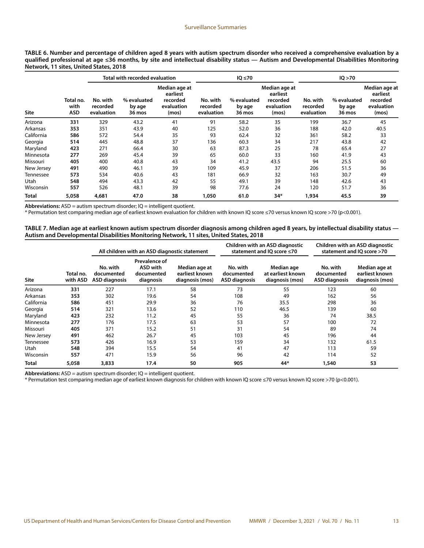| TABLE 6. Number and percentage of children aged 8 years with autism spectrum disorder who received a comprehensive evaluation by a      |
|-----------------------------------------------------------------------------------------------------------------------------------------|
| qualified professional at age ≤36 months, by site and intellectual disability status — Autism and Developmental Disabilities Monitoring |
| Network, 11 sites, United States, 2018                                                                                                  |

|             |                                 |                                    | Total with recorded evaluation  |                                                              |                                    | $IQ \leq 70$                    |                                                              | IQ > 70                            |                                 |                                                              |  |
|-------------|---------------------------------|------------------------------------|---------------------------------|--------------------------------------------------------------|------------------------------------|---------------------------------|--------------------------------------------------------------|------------------------------------|---------------------------------|--------------------------------------------------------------|--|
| <b>Site</b> | Total no.<br>with<br><b>ASD</b> | No. with<br>recorded<br>evaluation | % evaluated<br>by age<br>36 mos | Median age at<br>earliest<br>recorded<br>evaluation<br>(mos) | No. with<br>recorded<br>evaluation | % evaluated<br>by age<br>36 mos | Median age at<br>earliest<br>recorded<br>evaluation<br>(mos) | No. with<br>recorded<br>evaluation | % evaluated<br>by age<br>36 mos | Median age at<br>earliest<br>recorded<br>evaluation<br>(mos) |  |
| Arizona     | 331                             | 329                                | 43.2                            | 41                                                           | 91                                 | 58.2                            | 35                                                           | 199                                | 36.7                            | 45                                                           |  |
| Arkansas    | 353                             | 351                                | 43.9                            | 40                                                           | 125                                | 52.0                            | 36                                                           | 188                                | 42.0                            | 40.5                                                         |  |
| California  | 586                             | 572                                | 54.4                            | 35                                                           | 93                                 | 62.4                            | 32                                                           | 361                                | 58.2                            | 33                                                           |  |
| Georgia     | 514                             | 445                                | 48.8                            | 37                                                           | 136                                | 60.3                            | 34                                                           | 217                                | 43.8                            | 42                                                           |  |
| Maryland    | 423                             | 271                                | 66.4                            | 30                                                           | 63                                 | 87.3                            | 25                                                           | 78                                 | 65.4                            | 27                                                           |  |
| Minnesota   | 277                             | 269                                | 45.4                            | 39                                                           | 65                                 | 60.0                            | 33                                                           | 160                                | 41.9                            | 43                                                           |  |
| Missouri    | 405                             | 400                                | 40.8                            | 43                                                           | 34                                 | 41.2                            | 43.5                                                         | 94                                 | 25.5                            | 60                                                           |  |
| New Jersey  | 491                             | 490                                | 46.1                            | 39                                                           | 109                                | 45.9                            | 37                                                           | 206                                | 51.5                            | 36                                                           |  |
| Tennessee   | 573                             | 534                                | 40.6                            | 43                                                           | 181                                | 66.9                            | 32                                                           | 163                                | 30.7                            | 49                                                           |  |
| Utah        | 548                             | 494                                | 43.3                            | 42                                                           | 55                                 | 49.1                            | 39                                                           | 148                                | 42.6                            | 43                                                           |  |
| Wisconsin   | 557                             | 526                                | 48.1                            | 39                                                           | 98                                 | 77.6                            | 24                                                           | 120                                | 51.7                            | 36                                                           |  |
| Total       | 5,058                           | 4.681                              | 47.0                            | 38                                                           | 1,050                              | 61.0                            | $34*$                                                        | 1,934                              | 45.5                            | 39                                                           |  |

Abbreviations: ASD = autism spectrum disorder; IQ = intelligent quotient.

\* Permutation test comparing median age of earliest known evaluation for children with known IQ score ≤70 versus known IQ score >70 (p<0.001).

#### **TABLE 7. Median age at earliest known autism spectrum disorder diagnosis among children aged 8 years, by intellectual disability status — Autism and Developmental Disabilities Monitoring Network, 11 sites, United States, 2018**

|              |                       |                                                | All children with an ASD diagnostic statement               |                                                    |                                                | Children with an ASD diagnostic<br>statement and IO score ≤70 | Children with an ASD diagnostic<br>statement and IO score >70 |                                                    |
|--------------|-----------------------|------------------------------------------------|-------------------------------------------------------------|----------------------------------------------------|------------------------------------------------|---------------------------------------------------------------|---------------------------------------------------------------|----------------------------------------------------|
| <b>Site</b>  | Total no.<br>with ASD | No. with<br>documented<br><b>ASD diagnosis</b> | Prevalence of<br><b>ASD with</b><br>documented<br>diagnosis | Median age at<br>earliest known<br>diagnosis (mos) | No. with<br>documented<br><b>ASD diagnosis</b> | Median age<br>at earliest known<br>diagnosis (mos)            | No. with<br>documented<br><b>ASD diagnosis</b>                | Median age at<br>earliest known<br>diagnosis (mos) |
| Arizona      | 331                   | 227                                            | 17.1                                                        | 58                                                 | 73                                             | 55                                                            | 123                                                           | 60                                                 |
| Arkansas     | 353                   | 302                                            | 19.6                                                        | 54                                                 | 108                                            | 49                                                            | 162                                                           | 56                                                 |
| California   | 586                   | 451                                            | 29.9                                                        | 36                                                 | 76                                             | 35.5                                                          | 298                                                           | 36                                                 |
| Georgia      | 514                   | 321                                            | 13.6                                                        | 52                                                 | 110                                            | 46.5                                                          | 139                                                           | 60                                                 |
| Maryland     | 423                   | 232                                            | 11.2                                                        | 45                                                 | 55                                             | 36                                                            | 74                                                            | 38.5                                               |
| Minnesota    | 277                   | 176                                            | 17.5                                                        | 63                                                 | 53                                             | 57                                                            | 100                                                           | 72                                                 |
| Missouri     | 405                   | 371                                            | 15.2                                                        | 51                                                 | 31                                             | 54                                                            | 89                                                            | 74                                                 |
| New Jersey   | 491                   | 462                                            | 26.7                                                        | 45                                                 | 103                                            | 45                                                            | 196                                                           | 44                                                 |
| Tennessee    | 573                   | 426                                            | 16.9                                                        | 53                                                 | 159                                            | 34                                                            | 132                                                           | 61.5                                               |
| Utah         | 548                   | 394                                            | 15.5                                                        | 54                                                 | 41                                             | 47                                                            | 113                                                           | 59                                                 |
| Wisconsin    | 557                   | 471                                            | 15.9                                                        | 56                                                 | 96                                             | 42                                                            | 114                                                           | 52                                                 |
| <b>Total</b> | 5,058                 | 3,833                                          | 17.4                                                        | 50                                                 | 905                                            | 44*                                                           | 1,540                                                         | 53                                                 |

Abbreviations: ASD = autism spectrum disorder; IQ = intelligent quotient.

\* Permutation test comparing median age of earliest known diagnosis for children with known IQ score ≤70 versus known IQ score >70 (p<0.001).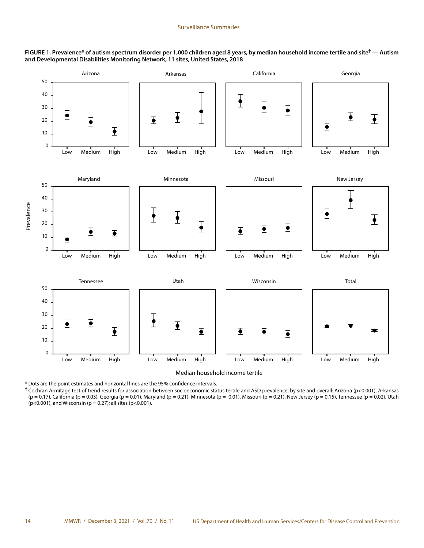**FIGURE 1. Prevalence\* of autism spectrum disorder per 1,000 children aged 8 years, by median household income tertile and site† — Autism and Developmental Disabilities Monitoring Network, 11 sites, United States, 2018**



Median household income tertile

\* Dots are the point estimates and horizontal lines are the 95% confidence intervals.

**†** Cochran Armitage test of trend results for association between socioeconomic status tertile and ASD prevalence, by site and overall: Arizona (p<0.001), Arkansas (p = 0.17), California (p = 0.03), Georgia (p = 0.01), Maryland (p = 0.21), Minnesota (p = 0.01), Missouri (p = 0.21), New Jersey (p = 0.15), Tennessee (p = 0.02), Utah ( $p$ <0.001), and Wisconsin ( $p$  = 0.27); all sites ( $p$ <0.001).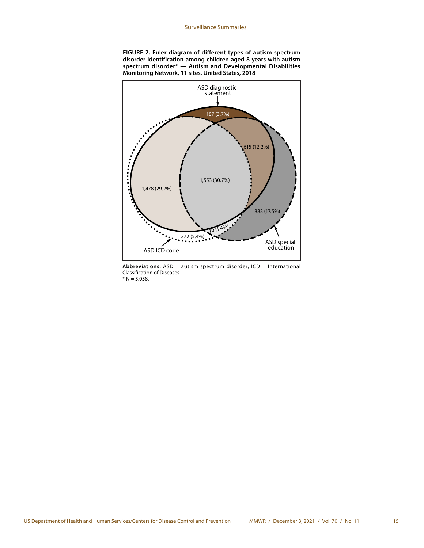



**Abbreviations:** ASD = autism spectrum disorder; ICD = International Classification of Diseases.  $* N = 5,058.$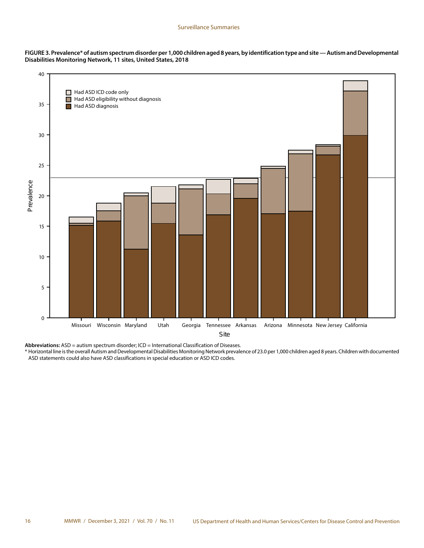



**Abbreviations:** ASD = autism spectrum disorder; ICD = International Classification of Diseases.

\* Horizontal line is the overall Autism and Developmental Disabilities Monitoring Network prevalence of 23.0 per 1,000 children aged 8 years. Children with documented ASD statements could also have ASD classifications in special education or ASD ICD codes.